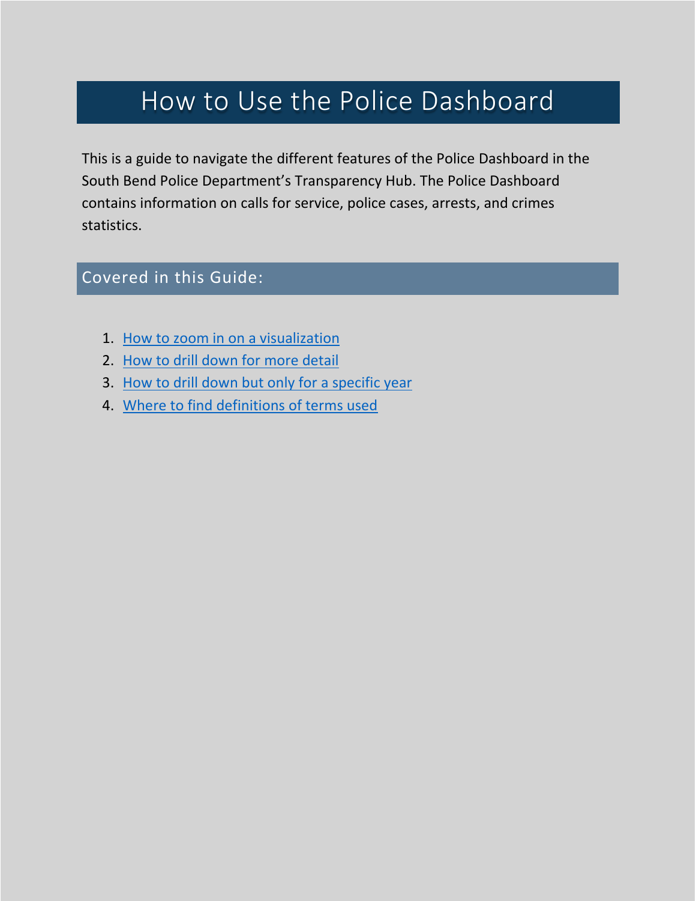# How to Use the Police Dashboard

This is a guide to navigate the different features of the Police Dashboard in the South Bend Police Department's Transparency Hub. The Police Dashboard contains information on calls for service, police cases, arrests, and crimes statistics.

## Covered in this Guide:

- 1. [How to zoom in on a visualization](#page-0-0)
- 2. [How to drill down for more detail](#page-2-0)
- 3. [How to drill down but only for a specific year](#page-4-0)
- <span id="page-0-0"></span>4. [Where to find definitions of terms used](#page-7-0)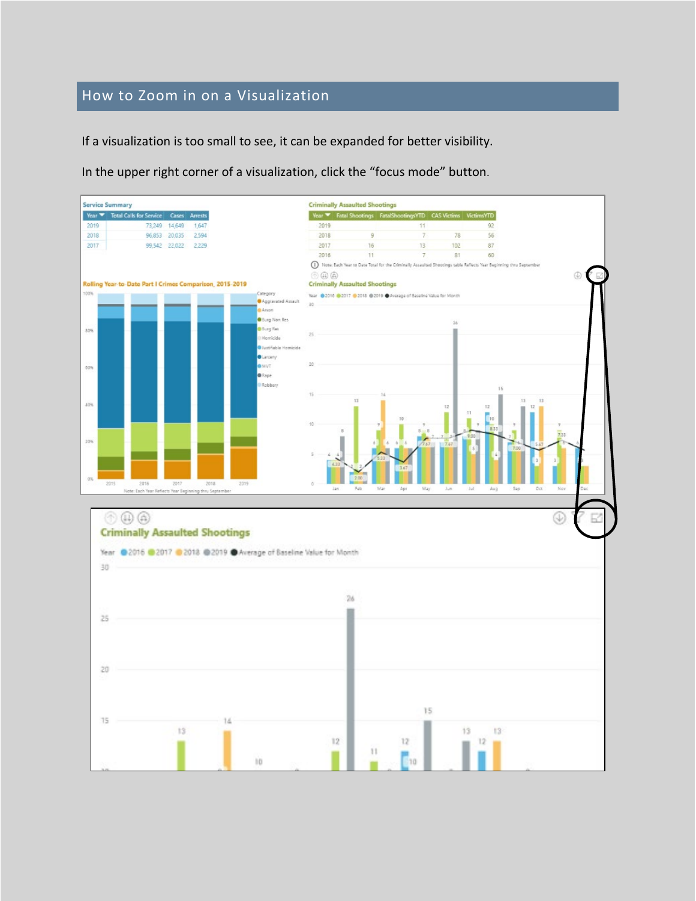#### How to Zoom in on a Visualization

If a visualization is too small to see, it can be expanded for better visibility.

In the upper right corner of a visualization, click the "focus mode" button.

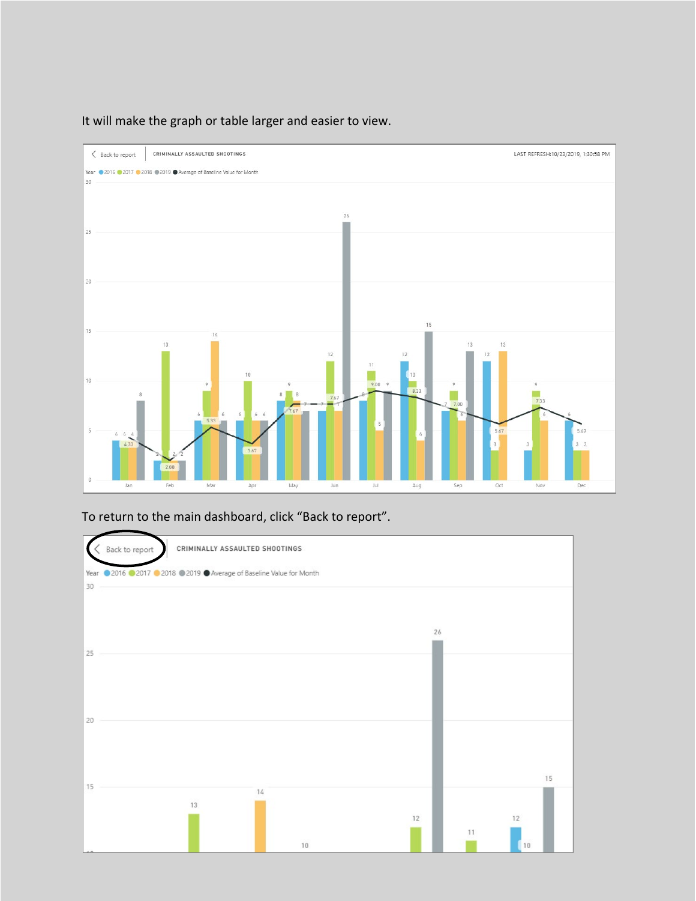

<span id="page-2-0"></span>It will make the graph or table larger and easier to view.

To return to the main dashboard, click "Back to report".

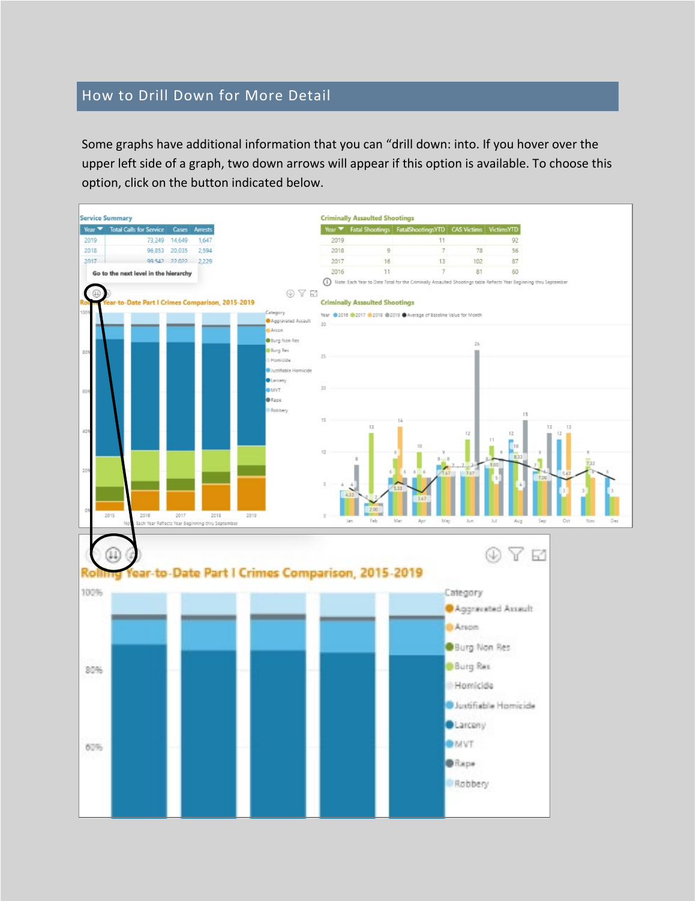#### How to Drill Down for More Detail

Some graphs have additional information that you can "drill down: into. If you hover over the upper left side of a graph, two down arrows will appear if this option is available. To choose this option, click on the button indicated below.

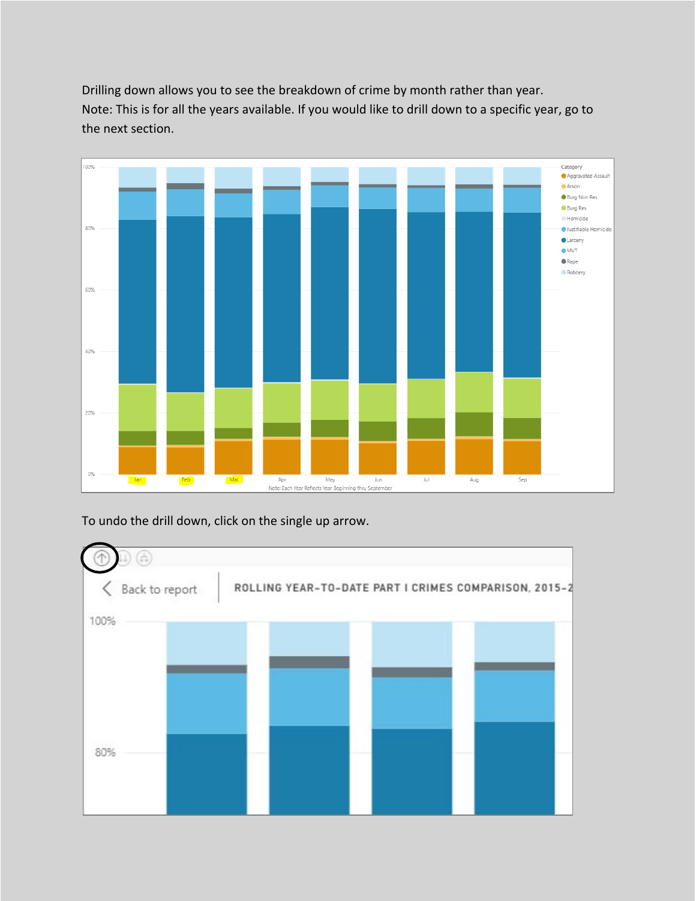<span id="page-4-0"></span>Drilling down allows you to see the breakdown of crime by month rather than year. Note: This is for all the years available. If you would like to drill down to a specific year, go to the next section.



To undo the drill down, click on the single up arrow.

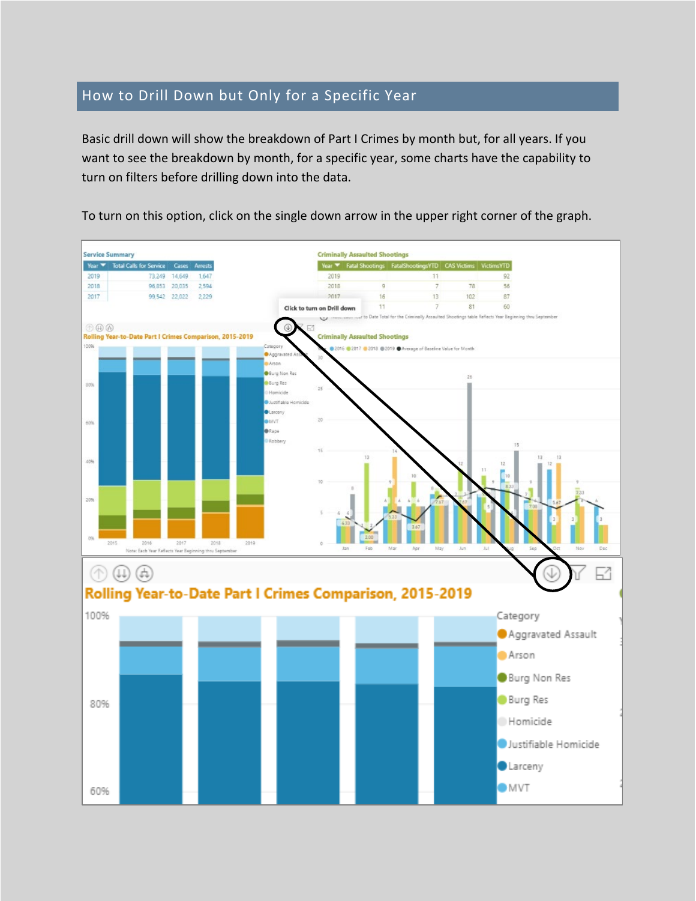#### How to Drill Down but Only for a Specific Year

Basic drill down will show the breakdown of Part I Crimes by month but, for all years. If you want to see the breakdown by month, for a specific year, some charts have the capability to turn on filters before drilling down into the data.

To turn on this option, click on the single down arrow in the upper right corner of the graph.

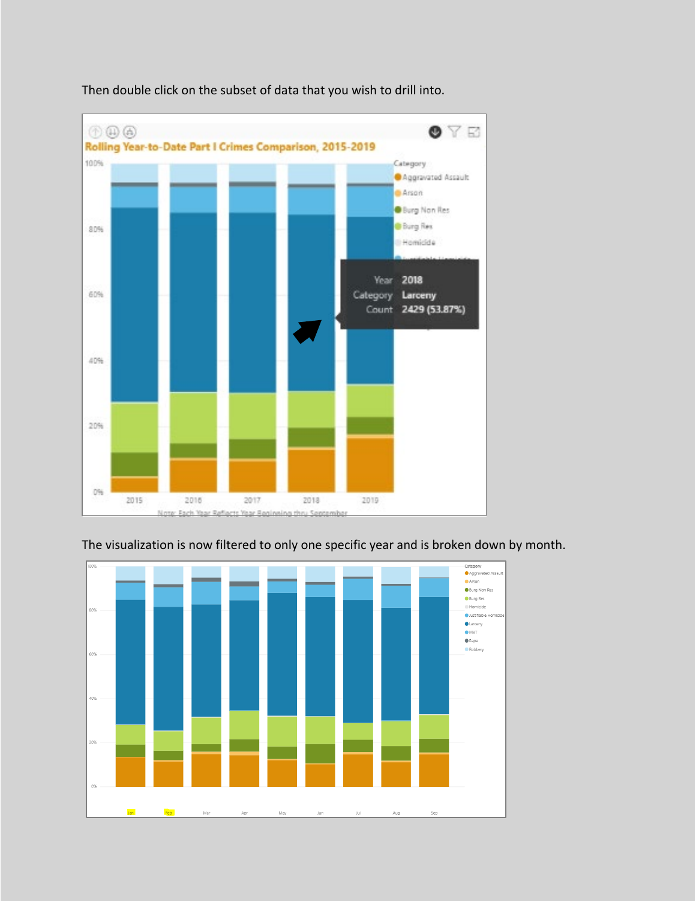

Then double click on the subset of data that you wish to drill into.



#### The visualization is now filtered to only one specific year and is broken down by month.